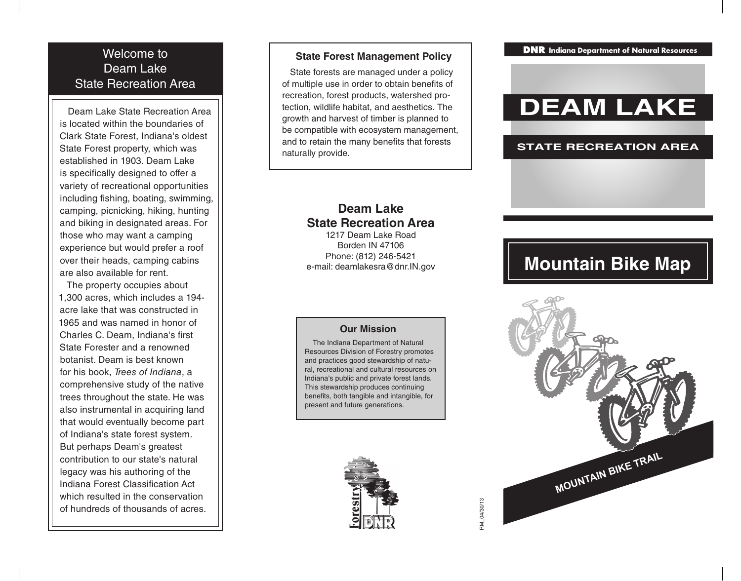### Welcome to Deam Lake State Recreation Area

Deam Lake State Recreation Area is located within the boundaries of Clark State Forest, Indiana's oldest State Forest property, which was established in 1903. Deam Lake is specifically designed to offer a variety of recreational opportunities including fishing, boating, swimming, camping, picnicking, hiking, hunting and biking in designated areas. For those who may want a camping experience but would prefer a roof over their heads, camping cabins are also available for rent.

The property occupies about 1,300 acres, which includes a 194 acre lake that was constructed in 1965 and was named in honor of Charles C. Deam, Indiana's first State Forester and a renowned botanist. Deam is best known for his book, *Trees of Indiana*, a comprehensive study of the native trees throughout the state. He was also instrumental in acquiring land that would eventually become part of Indiana's state forest system. But perhaps Deam's greatest contribution to our state's natural legacy was his authoring of the Indiana Forest Classification Act which resulted in the conservation of hundreds of thousands of acres.

### **State Forest Management Policy**

State forests are managed under a policy of multiple use in order to obtain benefits of recreation, forest products, watershed pro tection, wildlife habitat, and aesthetics. The growth and harvest of timber is planned to be compatible with ecosystem management, and to retain the many benefits that forests naturally provide.

## **Deam Lake State Recreation Area**

1217 Deam Lake Road Borden IN 47106 Phone: (812) 246-5421 e-mail: deamlakesra@dnr.IN.gov

### **Our Mission**

The Indiana Department of Natural Resources Division of Forestry promotes and practices good stewardship of natu ral, recreational and cultural resources on Indiana's public and private forest lands. This stewardship produces continuing benefits, both tangible and intangible, for present and future generations.



**lndiana Department of Natural Resources** 

# **DEAM LAKE**

### **STATE RECREATION AREA**

## **Mountain Bike Map**



RM 04/30/13 RM\_04/30/13